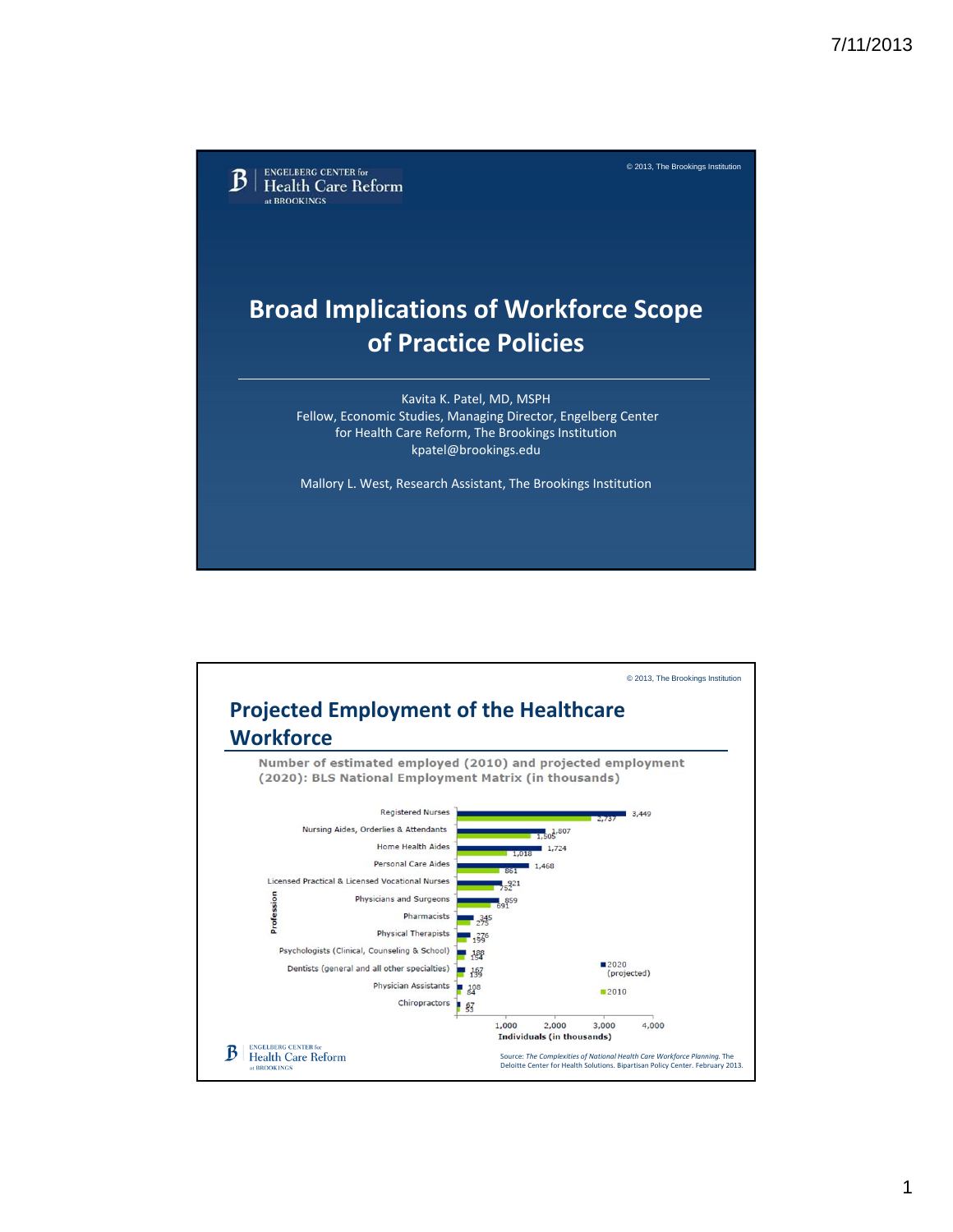© 2013, The Brookings Institution **ENGELBERG CENTER for** B **Health Care Reform** at BROOKINGS **Broad Implications of Workforce Scope of Practice Policies** Kavita K. Patel, MD, MSPH Fellow, Economic Studies, Managing Director, Engelberg Center for Health Care Reform, The Brookings Institution kpatel@brookings.edu Mallory L. West, Research Assistant, The Brookings Institution

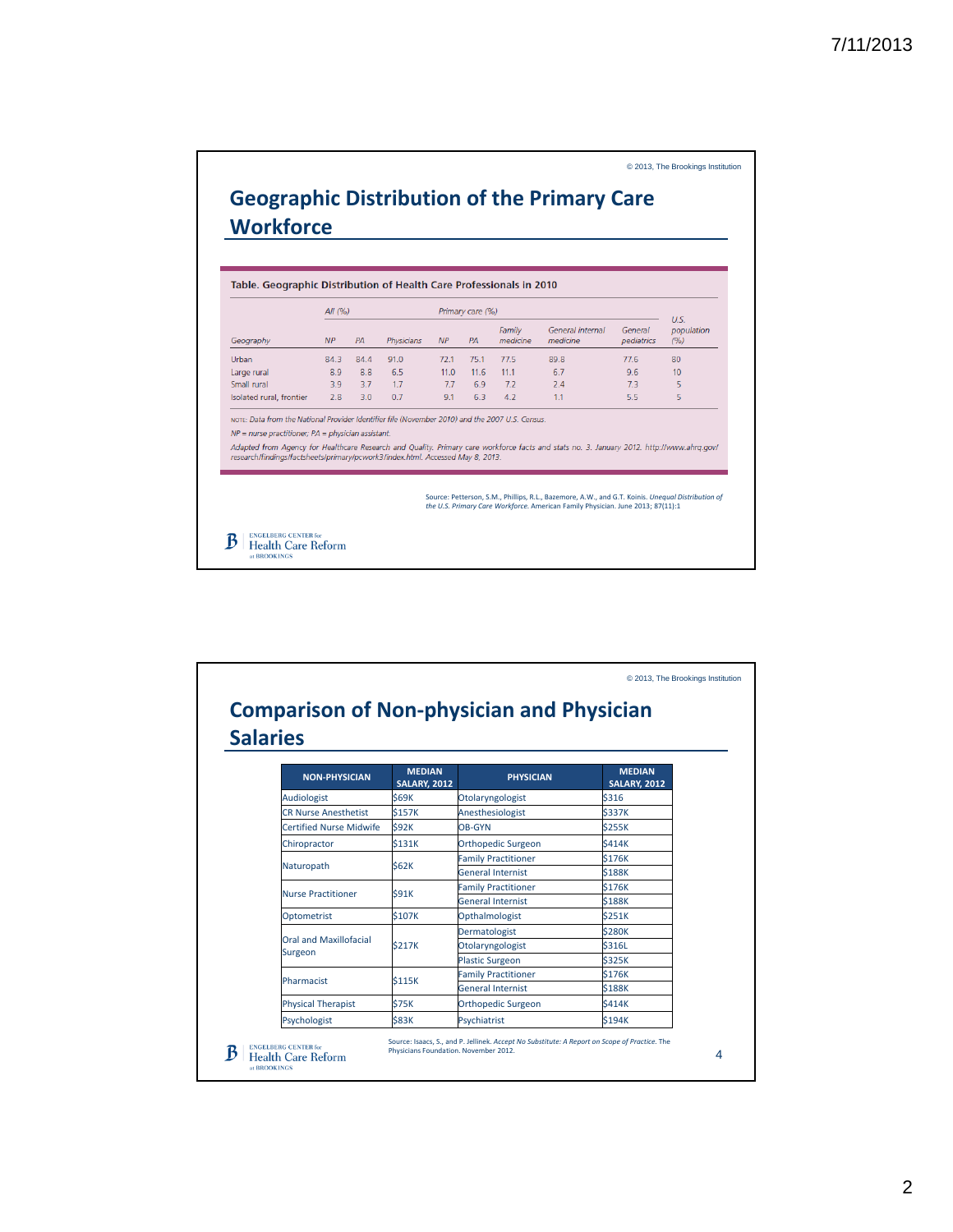© 2013, The Brookings Institution

|                                                                                                                                                                                                                                                                                                                                                                                          |                 |      |            |      |                        | Table. Geographic Distribution of Health Care Professionals in 2010 |                                                                                                                                                                                      |                       |                             |
|------------------------------------------------------------------------------------------------------------------------------------------------------------------------------------------------------------------------------------------------------------------------------------------------------------------------------------------------------------------------------------------|-----------------|------|------------|------|------------------------|---------------------------------------------------------------------|--------------------------------------------------------------------------------------------------------------------------------------------------------------------------------------|-----------------------|-----------------------------|
| Geography                                                                                                                                                                                                                                                                                                                                                                                | All $(%)$<br>NP | PA   | Physicians | NP   | Primary care (%)<br>PA | Family<br>medicine                                                  | General internal<br>medicine                                                                                                                                                         | General<br>pediatrics | U.S.<br>population<br>(9/6) |
| Urban                                                                                                                                                                                                                                                                                                                                                                                    | 84.3            | 84.4 | 91.0       | 72.1 | 75.1                   | 77.5                                                                | 89.8                                                                                                                                                                                 | 77.6                  | 80                          |
| Large rural                                                                                                                                                                                                                                                                                                                                                                              | 8.9             | 8.8  | 6.5        | 11.0 | 11.6                   | 11.1                                                                | 6.7                                                                                                                                                                                  | 9.6                   | 10                          |
| Small rural                                                                                                                                                                                                                                                                                                                                                                              | 3.9             | 3.7  | 1.7        | 7.7  | 6.9                    | 7.2                                                                 | 7.4                                                                                                                                                                                  | 7.3                   | 5                           |
| Isolated rural, frontier                                                                                                                                                                                                                                                                                                                                                                 | 2.8             | 3.0  | 0.7        | 9.1  | 6.3                    | 4.2                                                                 | 1.1                                                                                                                                                                                  | 5.5                   | 5                           |
| NOTE: Data from the National Provider Identifier file (November 2010) and the 2007 U.S. Census.<br>$NP =$ nurse practitioner; $PA =$ physician assistant.<br>Adapted from Agency for Healthcare Research and Quality. Primary care workforce facts and stats no. 3. January 2012. http://www.ahrg.gov/<br>research/findings/factsheets/primary/pcwork3/index.html. Accessed May 8, 2013. |                 |      |            |      |                        |                                                                     | Source: Petterson, S.M., Phillips, R.L., Bazemore, A.W., and G.T. Koinis. Unequal Distribution of<br>the U.S. Primary Care Workforce. American Family Physician. June 2013; 87(11):1 |                       |                             |

|                                   |                                      | <b>Comparison of Non-physician and Physician</b> |                                      |  |
|-----------------------------------|--------------------------------------|--------------------------------------------------|--------------------------------------|--|
| <b>Salaries</b>                   |                                      |                                                  |                                      |  |
| <b>NON-PHYSICIAN</b>              | <b>MEDIAN</b><br><b>SALARY, 2012</b> | <b>PHYSICIAN</b>                                 | <b>MEDIAN</b><br><b>SALARY, 2012</b> |  |
| Audiologist                       | <b>\$69K</b>                         | Otolaryngologist                                 | \$316                                |  |
| <b>CR Nurse Anesthetist</b>       | <b>\$157K</b>                        | Anesthesiologist                                 | \$337K                               |  |
| <b>Certified Nurse Midwife</b>    | <b>S92K</b>                          | OB-GYN                                           | <b>\$255K</b>                        |  |
| Chiropractor                      | <b>S131K</b>                         | Orthopedic Surgeon                               | <b>\$414K</b>                        |  |
|                                   |                                      | <b>Family Practitioner</b>                       | \$176K                               |  |
| Naturopath                        | <b>S62K</b>                          | <b>General Internist</b>                         | \$188K                               |  |
| <b>Nurse Practitioner</b>         | <b>S91K</b>                          | <b>Family Practitioner</b>                       | <b>\$176K</b>                        |  |
|                                   |                                      | <b>General Internist</b>                         | <b>S188K</b>                         |  |
| Optometrist                       | <b>\$107K</b>                        | Opthalmologist                                   | <b>\$251K</b>                        |  |
|                                   |                                      | Dermatologist                                    | <b>\$280K</b>                        |  |
| Oral and Maxillofacial<br>Surgeon | <b>\$217K</b>                        | Otolaryngologist                                 | <b>\$316L</b>                        |  |
|                                   |                                      | <b>Plastic Surgeon</b>                           | \$325K                               |  |
| Pharmacist                        | <b>S115K</b>                         | <b>Family Practitioner</b>                       | \$176K                               |  |
|                                   |                                      | <b>General Internist</b>                         | <b>\$188K</b>                        |  |
| <b>Physical Therapist</b>         | <b>\$75K</b>                         | <b>Orthopedic Surgeon</b>                        | <b>\$414K</b>                        |  |
| Psychologist                      | <b>\$83K</b>                         | Psychiatrist                                     | <b>\$194K</b>                        |  |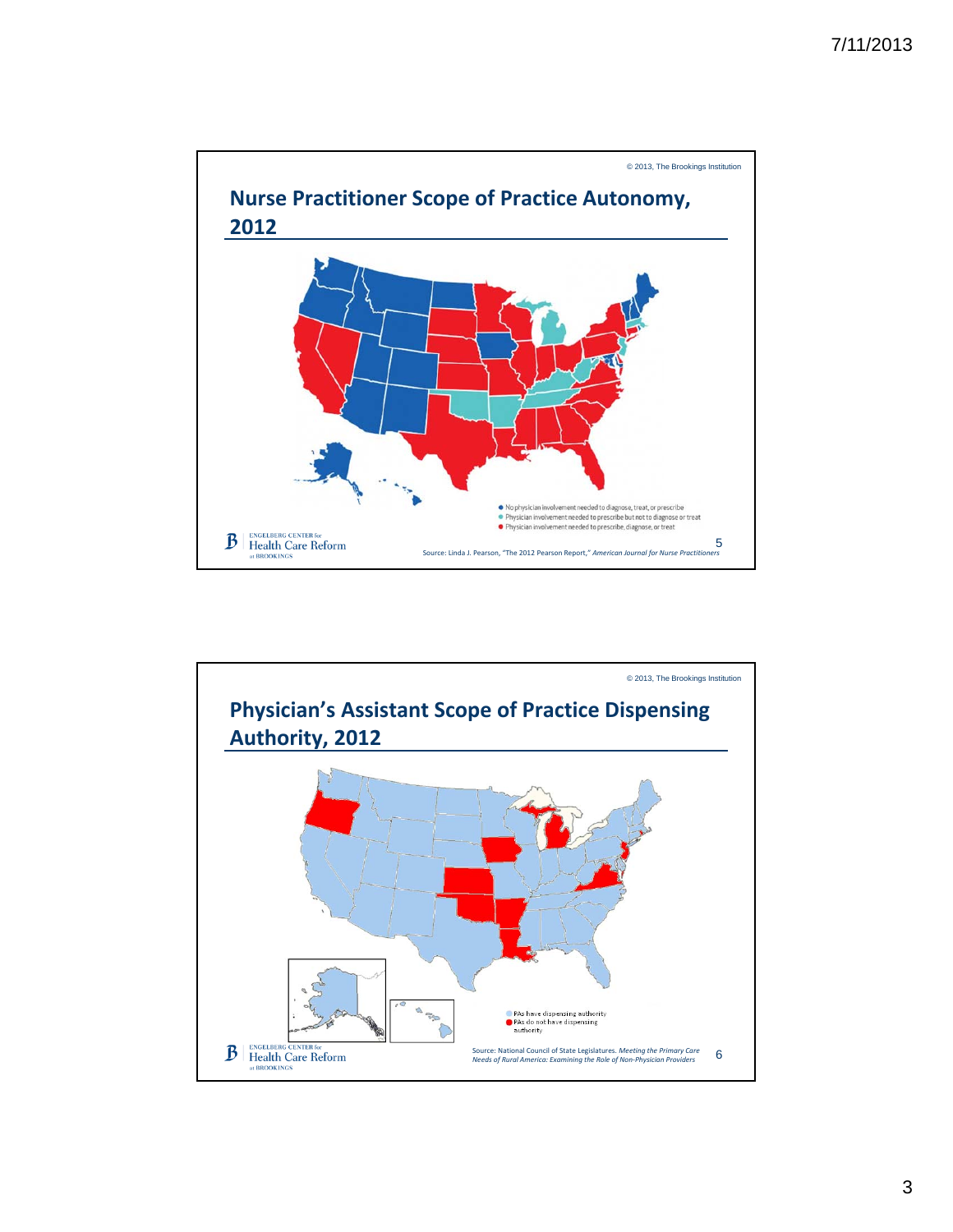